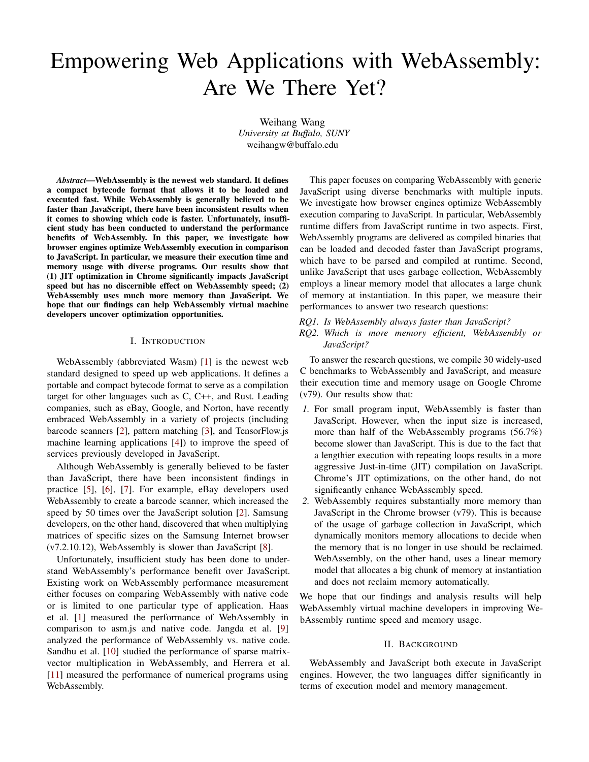# Empowering Web Applications with WebAssembly: Are We There Yet?

Weihang Wang *University at Buffalo, SUNY* weihangw@buffalo.edu

*Abstract*—WebAssembly is the newest web standard. It defines a compact bytecode format that allows it to be loaded and executed fast. While WebAssembly is generally believed to be faster than JavaScript, there have been inconsistent results when it comes to showing which code is faster. Unfortunately, insufficient study has been conducted to understand the performance benefits of WebAssembly. In this paper, we investigate how browser engines optimize WebAssembly execution in comparison to JavaScript. In particular, we measure their execution time and memory usage with diverse programs. Our results show that (1) JIT optimization in Chrome significantly impacts JavaScript speed but has no discernible effect on WebAssembly speed; (2) WebAssembly uses much more memory than JavaScript. We hope that our findings can help WebAssembly virtual machine developers uncover optimization opportunities.

## I. INTRODUCTION

WebAssembly (abbreviated Wasm) [\[1\]](#page-4-0) is the newest web standard designed to speed up web applications. It defines a portable and compact bytecode format to serve as a compilation target for other languages such as C, C++, and Rust. Leading companies, such as eBay, Google, and Norton, have recently embraced WebAssembly in a variety of projects (including barcode scanners [\[2\]](#page-4-1), pattern matching [\[3\]](#page-4-2), and TensorFlow.js machine learning applications [\[4\]](#page-4-3)) to improve the speed of services previously developed in JavaScript.

Although WebAssembly is generally believed to be faster than JavaScript, there have been inconsistent findings in practice [\[5\]](#page-4-4), [\[6\]](#page-4-5), [\[7\]](#page-4-6). For example, eBay developers used WebAssembly to create a barcode scanner, which increased the speed by 50 times over the JavaScript solution [\[2\]](#page-4-1). Samsung developers, on the other hand, discovered that when multiplying matrices of specific sizes on the Samsung Internet browser (v7.2.10.12), WebAssembly is slower than JavaScript [\[8\]](#page-4-7).

Unfortunately, insufficient study has been done to understand WebAssembly's performance benefit over JavaScript. Existing work on WebAssembly performance measurement either focuses on comparing WebAssembly with native code or is limited to one particular type of application. Haas et al. [\[1\]](#page-4-0) measured the performance of WebAssembly in comparison to asm.js and native code. Jangda et al. [\[9\]](#page-4-8) analyzed the performance of WebAssembly vs. native code. Sandhu et al. [\[10\]](#page-4-9) studied the performance of sparse matrixvector multiplication in WebAssembly, and Herrera et al. [\[11\]](#page-4-10) measured the performance of numerical programs using WebAssembly.

This paper focuses on comparing WebAssembly with generic JavaScript using diverse benchmarks with multiple inputs. We investigate how browser engines optimize WebAssembly execution comparing to JavaScript. In particular, WebAssembly runtime differs from JavaScript runtime in two aspects. First, WebAssembly programs are delivered as compiled binaries that can be loaded and decoded faster than JavaScript programs, which have to be parsed and compiled at runtime. Second, unlike JavaScript that uses garbage collection, WebAssembly employs a linear memory model that allocates a large chunk of memory at instantiation. In this paper, we measure their performances to answer two research questions:

- *RQ1. Is WebAssembly always faster than JavaScript?*
- *RQ2. Which is more memory efficient, WebAssembly or JavaScript?*

To answer the research questions, we compile 30 widely-used C benchmarks to WebAssembly and JavaScript, and measure their execution time and memory usage on Google Chrome (v79). Our results show that:

- *1.* For small program input, WebAssembly is faster than JavaScript. However, when the input size is increased, more than half of the WebAssembly programs (56.7%) become slower than JavaScript. This is due to the fact that a lengthier execution with repeating loops results in a more aggressive Just-in-time (JIT) compilation on JavaScript. Chrome's JIT optimizations, on the other hand, do not significantly enhance WebAssembly speed.
- *2.* WebAssembly requires substantially more memory than JavaScript in the Chrome browser (v79). This is because of the usage of garbage collection in JavaScript, which dynamically monitors memory allocations to decide when the memory that is no longer in use should be reclaimed. WebAssembly, on the other hand, uses a linear memory model that allocates a big chunk of memory at instantiation and does not reclaim memory automatically.

We hope that our findings and analysis results will help WebAssembly virtual machine developers in improving WebAssembly runtime speed and memory usage.

## II. BACKGROUND

WebAssembly and JavaScript both execute in JavaScript engines. However, the two languages differ significantly in terms of execution model and memory management.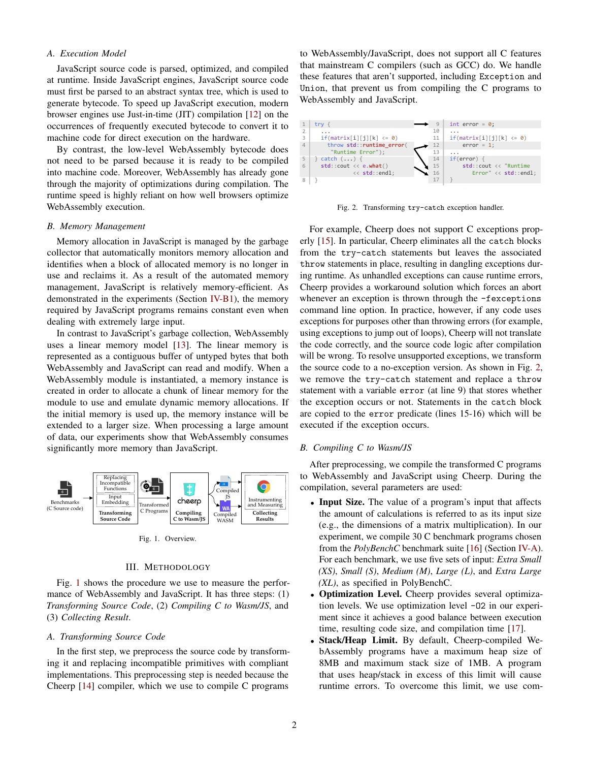# *A. Execution Model*

JavaScript source code is parsed, optimized, and compiled at runtime. Inside JavaScript engines, JavaScript source code must first be parsed to an abstract syntax tree, which is used to generate bytecode. To speed up JavaScript execution, modern browser engines use Just-in-time (JIT) compilation [\[12\]](#page-4-11) on the occurrences of frequently executed bytecode to convert it to machine code for direct execution on the hardware.

By contrast, the low-level WebAssembly bytecode does not need to be parsed because it is ready to be compiled into machine code. Moreover, WebAssembly has already gone through the majority of optimizations during compilation. The runtime speed is highly reliant on how well browsers optimize WebAssembly execution.

### *B. Memory Management*

Memory allocation in JavaScript is managed by the garbage collector that automatically monitors memory allocation and identifies when a block of allocated memory is no longer in use and reclaims it. As a result of the automated memory management, JavaScript is relatively memory-efficient. As demonstrated in the experiments (Section [IV-B1\)](#page-2-0), the memory required by JavaScript programs remains constant even when dealing with extremely large input.

In contrast to JavaScript's garbage collection, WebAssembly uses a linear memory model [\[13\]](#page-4-12). The linear memory is represented as a contiguous buffer of untyped bytes that both WebAssembly and JavaScript can read and modify. When a WebAssembly module is instantiated, a memory instance is created in order to allocate a chunk of linear memory for the module to use and emulate dynamic memory allocations. If the initial memory is used up, the memory instance will be extended to a larger size. When processing a large amount of data, our experiments show that WebAssembly consumes significantly more memory than JavaScript.



<span id="page-1-0"></span>Fig. 1. Overview.

# III. METHODOLOGY

Fig. [1](#page-1-0) shows the procedure we use to measure the performance of WebAssembly and JavaScript. It has three steps: (1) *Transforming Source Code*, (2) *Compiling C to Wasm/JS*, and (3) *Collecting Result*.

#### *A. Transforming Source Code*

In the first step, we preprocess the source code by transforming it and replacing incompatible primitives with compliant implementations. This preprocessing step is needed because the Cheerp [\[14\]](#page-4-13) compiler, which we use to compile C programs

to WebAssembly/JavaScript, does not support all C features that mainstream C compilers (such as GCC) do. We handle these features that aren't supported, including Exception and Union, that prevent us from compiling the C programs to WebAssembly and JavaScript.



<span id="page-1-1"></span>Fig. 2. Transforming try-catch exception handler.

from the try-catch statements but leaves the associated For example, Cheerp does not support C exceptions prop-erly [\[15\]](#page-4-14). In particular, Cheerp eliminates all the catch blocks throw statements in place, resulting in dangling exceptions during runtime. As unhandled exceptions can cause runtime errors, Cheerp provides a workaround solution which forces an abort whenever an exception is thrown through the -fexceptions command line option. In practice, however, if any code uses exceptions for purposes other than throwing errors (for example, using exceptions to jump out of loops), Cheerp will not translate the code correctly, and the source code logic after compilation will be wrong. To resolve unsupported exceptions, we transform the source code to a no-exception version. As shown in Fig. [2,](#page-1-1) we remove the try-catch statement and replace a throw statement with a variable error (at line 9) that stores whether the exception occurs or not. Statements in the catch block are copied to the error predicate (lines 15-16) which will be executed if the exception occurs.

#### *B. Compiling C to Wasm/JS*

After preprocessing, we compile the transformed C programs to WebAssembly and JavaScript using Cheerp. During the compilation, several parameters are used:

- Input Size. The value of a program's input that affects the amount of calculations is referred to as its input size (e.g., the dimensions of a matrix multiplication). In our experiment, we compile 30 C benchmark programs chosen from the *PolyBenchC* benchmark suite [\[16\]](#page-4-15) (Section [IV-A\)](#page-2-1). For each benchmark, we use five sets of input: *Extra Small (XS)*, *Small (S)*, *Medium (M)*, *Large (L)*, and *Extra Large (XL)*, as specified in PolyBenchC.
- Optimization Level. Cheerp provides several optimization levels. We use optimization level -O2 in our experiment since it achieves a good balance between execution time, resulting code size, and compilation time [\[17\]](#page-4-16).
- Stack/Heap Limit. By default, Cheerp-compiled WebAssembly programs have a maximum heap size of 8MB and maximum stack size of 1MB. A program that uses heap/stack in excess of this limit will cause runtime errors. To overcome this limit, we use com-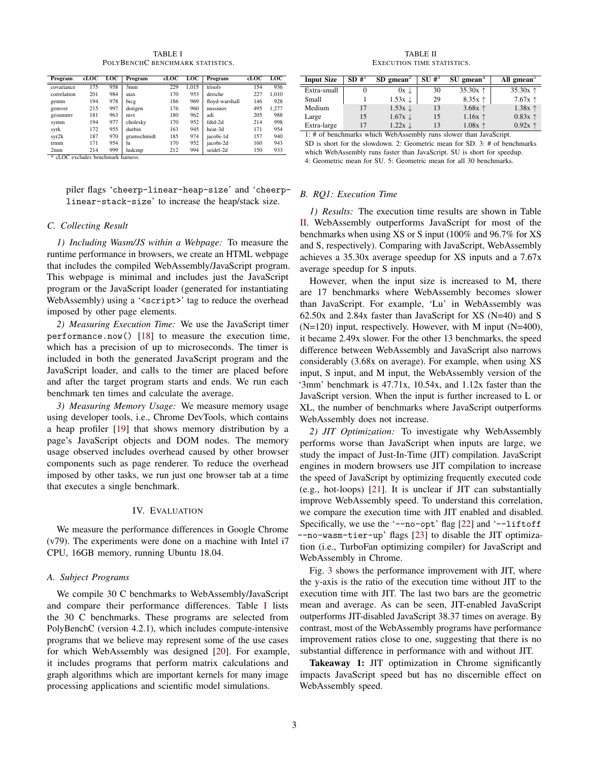TABLE I POLYBENCHC BENCHMARK STATISTICS.

<span id="page-2-2"></span>

| Program     | cLOC | <b>LOC</b> | Program     | cLOC | <b>LOC</b> | Program        | cLOC | <b>LOC</b> |
|-------------|------|------------|-------------|------|------------|----------------|------|------------|
| covariance  | 175  | 958        | 3mm         | 229  | 1.015      | trisolv        | 154  | 936        |
| correlation | 201  | 984        | atax        | 170  | 953        | deriche        | 227  | 1.010      |
| gemm        | 194  | 978        | bicg        | 186  | 969        | floyd-warshall | 146  | 928        |
| gemver      | 215  | 997        | doitgen     | 176  | 960        | nussinov       | 495  | 1.277      |
| gesummy     | 181  | 963        | mvt         | 180  | 962        | adi            | 205  | 988        |
| svmm        | 194  | 977        | cholesky    | 170  | 952        | fdtd-2d        | 214  | 998        |
| syrk        | 172  | 955        | durbin      | 163  | 945        | heat-3d        | 171  | 954        |
| syr2k       | 187  | 970        | gramschmidt | 185  | 974        | iacobi-1d      | 157  | 940        |
| trmm        | 171  | 954        | hı          | 170  | 952        | jacobi-2d      | 160  | 943        |
| 2mm         | 214  | 999        | ludcmp      | 212  | 994        | seidel-2d      | 150  | 933        |

\* cLOC excludes benchmark harness.

piler flags 'cheerp-linear-heap-size' and 'cheerplinear-stack-size' to increase the heap/stack size.

## *C. Collecting Result*

*1) Including Wasm/JS within a Webpage:* To measure the runtime performance in browsers, we create an HTML webpage that includes the compiled WebAssembly/JavaScript program. This webpage is minimal and includes just the JavaScript program or the JavaScript loader (generated for instantiating WebAssembly) using a '<script>' tag to reduce the overhead imposed by other page elements.

*2) Measuring Execution Time:* We use the JavaScript timer performance.now() [\[18\]](#page-4-17) to measure the execution time, which has a precision of up to microseconds. The timer is included in both the generated JavaScript program and the JavaScript loader, and calls to the timer are placed before and after the target program starts and ends. We run each benchmark ten times and calculate the average.

*3) Measuring Memory Usage:* We measure memory usage using developer tools, i.e., Chrome DevTools, which contains a heap profiler [\[19\]](#page-4-18) that shows memory distribution by a page's JavaScript objects and DOM nodes. The memory usage observed includes overhead caused by other browser components such as page renderer. To reduce the overhead imposed by other tasks, we run just one browser tab at a time that executes a single benchmark.

## IV. EVALUATION

We measure the performance differences in Google Chrome (v79). The experiments were done on a machine with Intel i7 CPU, 16GB memory, running Ubuntu 18.04.

### <span id="page-2-1"></span>*A. Subject Programs*

We compile 30 C benchmarks to WebAssembly/JavaScript and compare their performance differences. Table [I](#page-2-2) lists the 30 C benchmarks. These programs are selected from PolyBenchC (version 4.2.1), which includes compute-intensive programs that we believe may represent some of the use cases for which WebAssembly was designed [\[20\]](#page-4-19). For example, it includes programs that perform matrix calculations and graph algorithms which are important kernels for many image processing applications and scientific model simulations.

TABLE II EXECUTION TIME STATISTICS.

<span id="page-2-3"></span>

| <b>Input Size</b>                                                 | SD H <sup>1</sup> | $SD$ gmean <sup>2</sup> | $SU#^3$ | $SU$ gmean <sup>4</sup> | All gmean <sup>5</sup> |
|-------------------------------------------------------------------|-------------------|-------------------------|---------|-------------------------|------------------------|
| Extra-small                                                       |                   | $0x \downarrow$         | 30      | 35.30 $x$ $\uparrow$    | 35.30 $x \uparrow$     |
| Small                                                             |                   | $1.53x \downarrow$      | 29      | $8.35x$ $\uparrow$      | $7.67x$ $\uparrow$     |
| Medium                                                            | 17                | $1.53x \downarrow$      | 13      | $3.68x$ $\uparrow$      | $1.38x$ $\uparrow$     |
| Large                                                             | 15                | $1.67x \downarrow$      | 15      | $1.16x$ $\uparrow$      | $0.83x$ $\uparrow$     |
| Extra-large                                                       | 17                | $1.22x \downarrow$      | 13      | $1.08x$ $\uparrow$      | $0.92x$ $\uparrow$     |
| 1: # of benchmarks which WebAssembly runs slower than JavaScript. |                   |                         |         |                         |                        |

SD is short for the slowdown. 2: Geometric mean for SD. 3: # of benchmarks which WebAssembly runs faster than JavaScript. SU is short for speedup. 4: Geometric mean for SU. 5: Geometric mean for all 30 benchmarks.

# *B. RQ1: Execution Time*

<span id="page-2-0"></span>*1) Results:* The execution time results are shown in Table [II.](#page-2-3) WebAssembly outperforms JavaScript for most of the benchmarks when using XS or S input (100% and 96.7% for XS and S, respectively). Comparing with JavaScript, WebAssembly achieves a 35.30x average speedup for XS inputs and a 7.67x average speedup for S inputs.

However, when the input size is increased to M, there are 17 benchmarks where WebAssembly becomes slower than JavaScript. For example, 'Lu' in WebAssembly was 62.50x and 2.84x faster than JavaScript for XS (N=40) and S (N=120) input, respectively. However, with M input (N=400), it became 2.49x slower. For the other 13 benchmarks, the speed difference between WebAssembly and JavaScript also narrows considerably (3.68x on average). For example, when using XS input, S input, and M input, the WebAssembly version of the '3mm' benchmark is 47.71x, 10.54x, and 1.12x faster than the JavaScript version. When the input is further increased to L or XL, the number of benchmarks where JavaScript outperforms WebAssembly does not increase.

*2) JIT Optimization:* To investigate why WebAssembly performs worse than JavaScript when inputs are large, we study the impact of Just-In-Time (JIT) compilation. JavaScript engines in modern browsers use JIT compilation to increase the speed of JavaScript by optimizing frequently executed code (e.g., hot-loops) [\[21\]](#page-4-20). It is unclear if JIT can substantially improve WebAssembly speed. To understand this correlation, we compare the execution time with JIT enabled and disabled. Specifically, we use the '--no-opt' flag [\[22\]](#page-4-21) and '--liftoff --no-wasm-tier-up' flags [\[23\]](#page-4-22) to disable the JIT optimization (i.e., TurboFan optimizing compiler) for JavaScript and WebAssembly in Chrome.

Fig. [3](#page-3-0) shows the performance improvement with JIT, where the y-axis is the ratio of the execution time without JIT to the execution time with JIT. The last two bars are the geometric mean and average. As can be seen, JIT-enabled JavaScript outperforms JIT-disabled JavaScript 38.37 times on average. By contrast, most of the WebAssembly programs have performance improvement ratios close to one, suggesting that there is no substantial difference in performance with and without JIT.

Takeaway 1: JIT optimization in Chrome significantly impacts JavaScript speed but has no discernible effect on WebAssembly speed.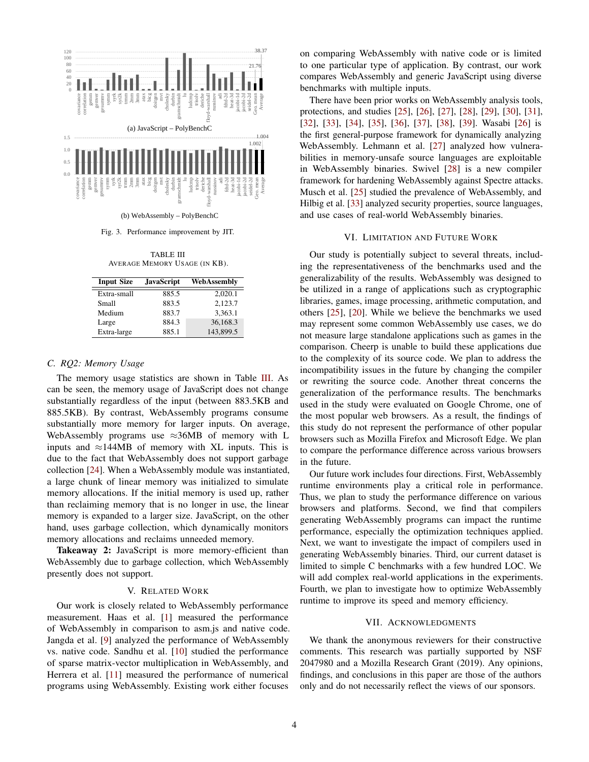

<span id="page-3-0"></span>(b) WebAssembly – PolyBenchC

Fig. 3. Performance improvement by JIT.

TABLE III AVERAGE MEMORY USAGE (IN KB).

<span id="page-3-1"></span>

| <b>Input Size</b> | <b>JavaScript</b> | WebAssembly |
|-------------------|-------------------|-------------|
| Extra-small       | 885.5             | 2.020.1     |
| Small             | 883.5             | 2.123.7     |
| Medium            | 883.7             | 3.363.1     |
| Large             | 884.3             | 36.168.3    |
| Extra-large       | 885.1             | 143,899.5   |

## *C. RQ2: Memory Usage*

The memory usage statistics are shown in Table [III.](#page-3-1) As can be seen, the memory usage of JavaScript does not change substantially regardless of the input (between 883.5KB and 885.5KB). By contrast, WebAssembly programs consume substantially more memory for larger inputs. On average, WebAssembly programs use  $\approx 36MB$  of memory with L inputs and  $\approx$ 144MB of memory with XL inputs. This is due to the fact that WebAssembly does not support garbage collection [\[24\]](#page-4-23). When a WebAssembly module was instantiated, a large chunk of linear memory was initialized to simulate memory allocations. If the initial memory is used up, rather than reclaiming memory that is no longer in use, the linear memory is expanded to a larger size. JavaScript, on the other hand, uses garbage collection, which dynamically monitors memory allocations and reclaims unneeded memory.

Takeaway 2: JavaScript is more memory-efficient than WebAssembly due to garbage collection, which WebAssembly presently does not support.

#### V. RELATED WORK

Our work is closely related to WebAssembly performance measurement. Haas et al. [\[1\]](#page-4-0) measured the performance of WebAssembly in comparison to asm.js and native code. Jangda et al. [\[9\]](#page-4-8) analyzed the performance of WebAssembly vs. native code. Sandhu et al. [\[10\]](#page-4-9) studied the performance of sparse matrix-vector multiplication in WebAssembly, and Herrera et al. [\[11\]](#page-4-10) measured the performance of numerical programs using WebAssembly. Existing work either focuses

on comparing WebAssembly with native code or is limited to one particular type of application. By contrast, our work compares WebAssembly and generic JavaScript using diverse benchmarks with multiple inputs.

There have been prior works on WebAssembly analysis tools, protections, and studies [\[25\]](#page-4-24), [\[26\]](#page-4-25), [\[27\]](#page-4-26), [\[28\]](#page-4-27), [\[29\]](#page-4-28), [\[30\]](#page-4-29), [\[31\]](#page-4-30), [\[32\]](#page-4-31), [\[33\]](#page-4-32), [\[34\]](#page-4-33), [\[35\]](#page-4-34), [\[36\]](#page-4-35), [\[37\]](#page-4-36), [\[38\]](#page-4-37), [\[39\]](#page-4-38). Wasabi [\[26\]](#page-4-25) is the first general-purpose framework for dynamically analyzing WebAssembly. Lehmann et al. [\[27\]](#page-4-26) analyzed how vulnerabilities in memory-unsafe source languages are exploitable in WebAssembly binaries. Swivel [\[28\]](#page-4-27) is a new compiler framework for hardening WebAssembly against Spectre attacks. Musch et al. [\[25\]](#page-4-24) studied the prevalence of WebAssembly, and Hilbig et al. [\[33\]](#page-4-32) analyzed security properties, source languages, and use cases of real-world WebAssembly binaries.

#### VI. LIMITATION AND FUTURE WORK

Our study is potentially subject to several threats, including the representativeness of the benchmarks used and the generalizability of the results. WebAssembly was designed to be utilized in a range of applications such as cryptographic libraries, games, image processing, arithmetic computation, and others [\[25\]](#page-4-24), [\[20\]](#page-4-19). While we believe the benchmarks we used may represent some common WebAssembly use cases, we do not measure large standalone applications such as games in the comparison. Cheerp is unable to build these applications due to the complexity of its source code. We plan to address the incompatibility issues in the future by changing the compiler or rewriting the source code. Another threat concerns the generalization of the performance results. The benchmarks used in the study were evaluated on Google Chrome, one of the most popular web browsers. As a result, the findings of this study do not represent the performance of other popular browsers such as Mozilla Firefox and Microsoft Edge. We plan to compare the performance difference across various browsers in the future.

Our future work includes four directions. First, WebAssembly runtime environments play a critical role in performance. Thus, we plan to study the performance difference on various browsers and platforms. Second, we find that compilers generating WebAssembly programs can impact the runtime performance, especially the optimization techniques applied. Next, we want to investigate the impact of compilers used in generating WebAssembly binaries. Third, our current dataset is limited to simple C benchmarks with a few hundred LOC. We will add complex real-world applications in the experiments. Fourth, we plan to investigate how to optimize WebAssembly runtime to improve its speed and memory efficiency.

#### VII. ACKNOWLEDGMENTS

We thank the anonymous reviewers for their constructive comments. This research was partially supported by NSF 2047980 and a Mozilla Research Grant (2019). Any opinions, findings, and conclusions in this paper are those of the authors only and do not necessarily reflect the views of our sponsors.